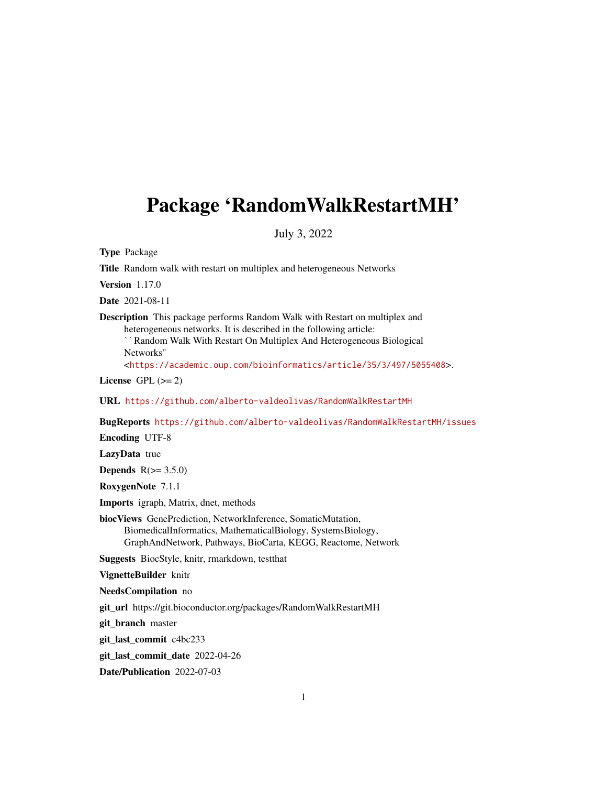# Package 'RandomWalkRestartMH'

July 3, 2022

Type Package

Title Random walk with restart on multiplex and heterogeneous Networks

Version 1.17.0

Date 2021-08-11

**Description** This package performs Random Walk with Restart on multiplex and heterogeneous networks. It is described in the following article:

Random Walk With Restart On Multiplex And Heterogeneous Biological Networks''

<<https://academic.oup.com/bioinformatics/article/35/3/497/5055408>>.

License GPL  $(>= 2)$ 

URL <https://github.com/alberto-valdeolivas/RandomWalkRestartMH>

BugReports <https://github.com/alberto-valdeolivas/RandomWalkRestartMH/issues>

Encoding UTF-8

LazyData true

Depends  $R(>= 3.5.0)$ 

RoxygenNote 7.1.1

Imports igraph, Matrix, dnet, methods

biocViews GenePrediction, NetworkInference, SomaticMutation, BiomedicalInformatics, MathematicalBiology, SystemsBiology, GraphAndNetwork, Pathways, BioCarta, KEGG, Reactome, Network

Suggests BiocStyle, knitr, rmarkdown, testthat

VignetteBuilder knitr

NeedsCompilation no

git\_url https://git.bioconductor.org/packages/RandomWalkRestartMH

git branch master

git\_last\_commit c4bc233

git\_last\_commit\_date 2022-04-26

Date/Publication 2022-07-03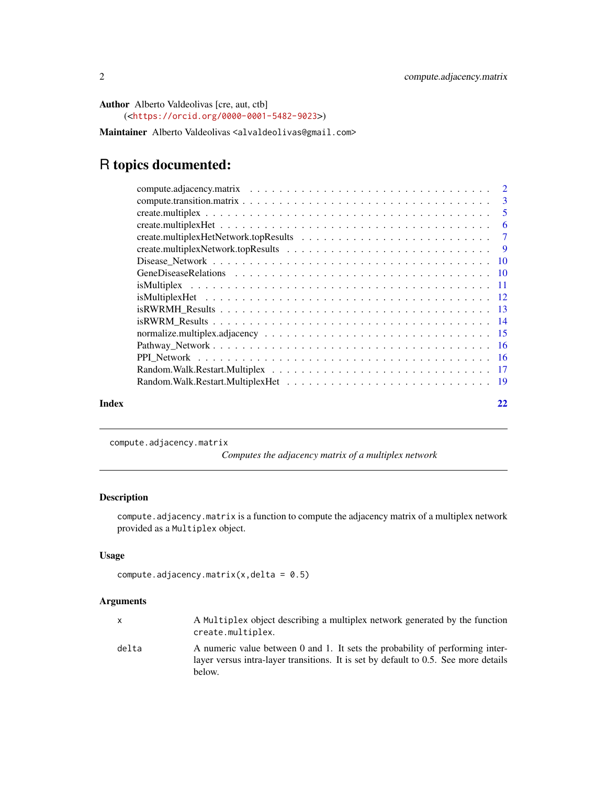```
Author Alberto Valdeolivas [cre, aut, ctb]
     (<https://orcid.org/0000-0001-5482-9023>)
```
Maintainer Alberto Valdeolivas <alvaldeolivas@gmail.com>

# R topics documented:

| Index | 22 |
|-------|----|
|       |    |

<span id="page-1-1"></span>

compute.adjacency.matrix

*Computes the adjacency matrix of a multiplex network*

# Description

compute.adjacency.matrix is a function to compute the adjacency matrix of a multiplex network provided as a Multiplex object.

# Usage

```
compute.adjacency.matrix(x,delta = 0.5)
```
# Arguments

| x     | A Multiplex object describing a multiplex network generated by the function<br>create.multiplex.                                                                               |
|-------|--------------------------------------------------------------------------------------------------------------------------------------------------------------------------------|
| delta | A numeric value between 0 and 1. It sets the probability of performing inter-<br>layer versus intra-layer transitions. It is set by default to 0.5. See more details<br>below. |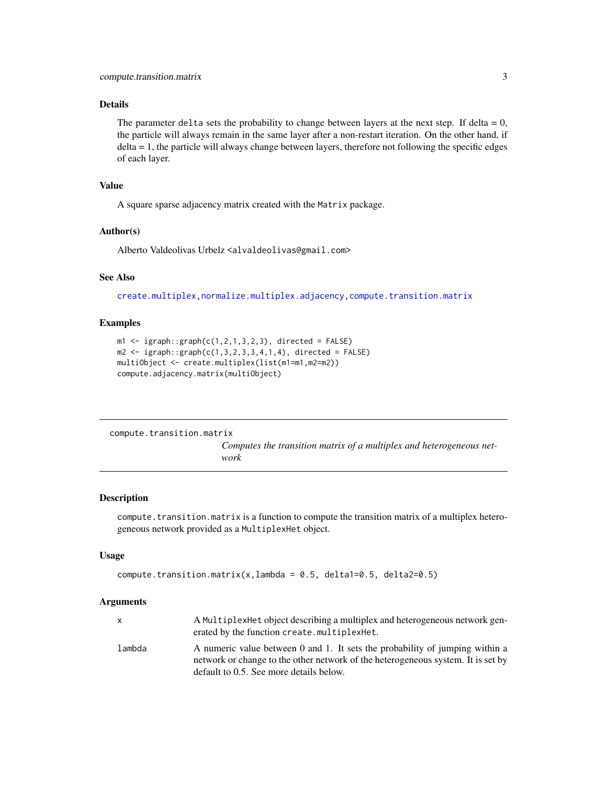# <span id="page-2-0"></span>Details

The parameter delta sets the probability to change between layers at the next step. If delta =  $0$ , the particle will always remain in the same layer after a non-restart iteration. On the other hand, if delta = 1, the particle will always change between layers, therefore not following the specific edges of each layer.

#### Value

A square sparse adjacency matrix created with the Matrix package.

#### Author(s)

Alberto Valdeolivas Urbelz <alvaldeolivas@gmail.com>

# See Also

[create.multiplex](#page-4-1)[,normalize.multiplex.adjacency](#page-14-1)[,compute.transition.matrix](#page-2-1)

# Examples

```
m1 \leq -i graph::graph(c(1,2,1,3,2,3)), directed = FALSE)
m2 \leq igraph::graph(c(1,3,2,3,3,4,1,4), directed = FALSE)
multiObject <- create.multiplex(list(m1=m1,m2=m2))
compute.adjacency.matrix(multiObject)
```

```
compute.transition.matrix
```
*Computes the transition matrix of a multiplex and heterogeneous network*

# Description

compute.transition.matrix is a function to compute the transition matrix of a multiplex heterogeneous network provided as a MultiplexHet object.

# Usage

```
compute.transition.matrix(x,lambda = 0.5, delta1=0.5, delta2=0.5)
```
#### Arguments

|        | A MultiplexHet object describing a multiplex and heterogeneous network gen-<br>erated by the function create.multiplexHet.                                       |
|--------|------------------------------------------------------------------------------------------------------------------------------------------------------------------|
| lambda | A numeric value between 0 and 1. It sets the probability of jumping within a<br>network or change to the other network of the heterogeneous system. It is set by |
|        | default to 0.5. See more details below.                                                                                                                          |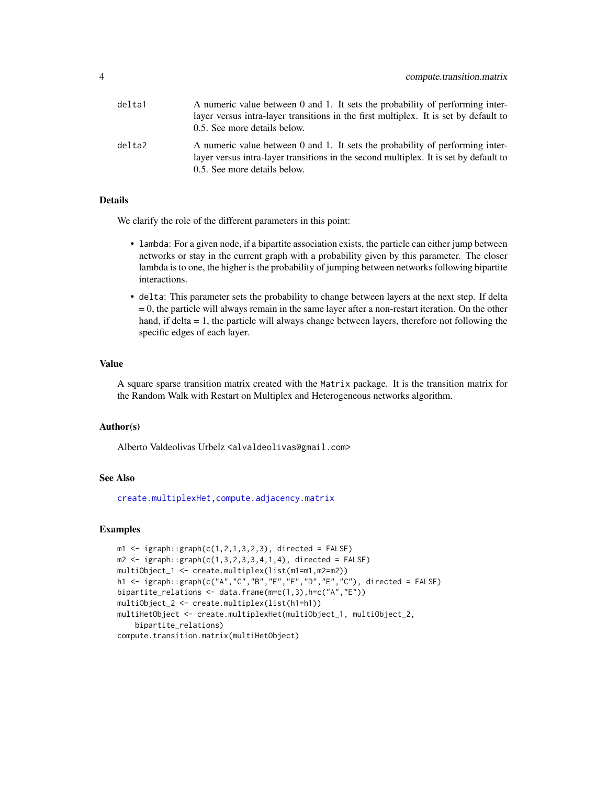<span id="page-3-0"></span>

| delta1 | A numeric value between 0 and 1. It sets the probability of performing inter-         |
|--------|---------------------------------------------------------------------------------------|
|        | layer versus intra-layer transitions in the first multiplex. It is set by default to  |
|        | 0.5. See more details below.                                                          |
| delta2 | A numeric value between 0 and 1. It sets the probability of performing inter-         |
|        | layer versus intra-layer transitions in the second multiplex. It is set by default to |
|        | 0.5. See more details below.                                                          |

## Details

We clarify the role of the different parameters in this point:

- lambda: For a given node, if a bipartite association exists, the particle can either jump between networks or stay in the current graph with a probability given by this parameter. The closer lambda is to one, the higher is the probability of jumping between networks following bipartite interactions.
- delta: This parameter sets the probability to change between layers at the next step. If delta  $= 0$ , the particle will always remain in the same layer after a non-restart iteration. On the other hand, if delta = 1, the particle will always change between layers, therefore not following the specific edges of each layer.

#### Value

A square sparse transition matrix created with the Matrix package. It is the transition matrix for the Random Walk with Restart on Multiplex and Heterogeneous networks algorithm.

#### Author(s)

Alberto Valdeolivas Urbelz <alvaldeolivas@gmail.com>

# See Also

[create.multiplexHet,](#page-5-1)[compute.adjacency.matrix](#page-1-1)

```
m1 \leq -i igraph::graph(c(1,2,1,3,2,3), directed = FALSE)
m2 \leq -i igraph::graph(c(1,3,2,3,3,4,1,4), directed = FALSE)
multiObject_1 <- create.multiplex(list(m1=m1,m2=m2))
h1 <- igraph::graph(c("A","C","B","E","E","D","E","C"), directed = FALSE)
bipartite_relations <- data.frame(m=c(1,3),h=c("A","E"))
multiObject_2 <- create.multiplex(list(h1=h1))
multiHetObject <- create.multiplexHet(multiObject_1, multiObject_2,
    bipartite_relations)
compute.transition.matrix(multiHetObject)
```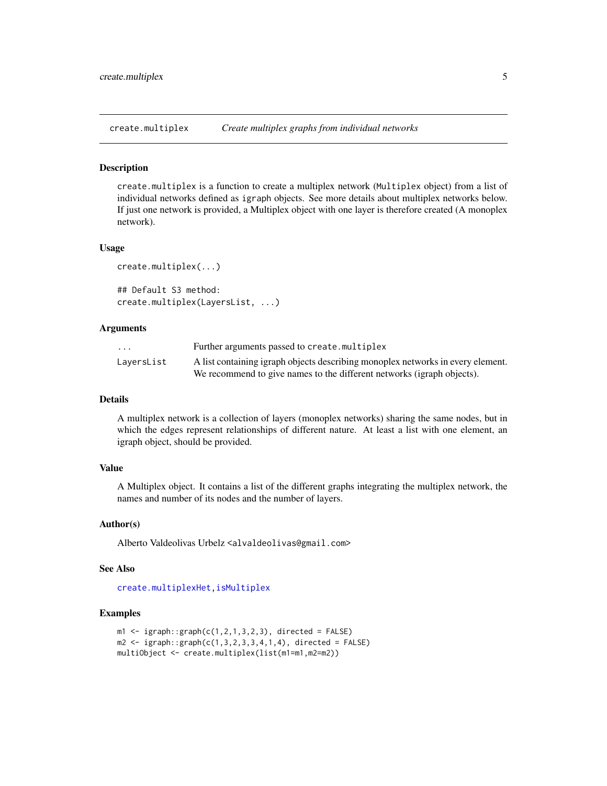<span id="page-4-1"></span><span id="page-4-0"></span>create.multiplex *Create multiplex graphs from individual networks*

#### Description

create.multiplex is a function to create a multiplex network (Multiplex object) from a list of individual networks defined as igraph objects. See more details about multiplex networks below. If just one network is provided, a Multiplex object with one layer is therefore created (A monoplex network).

#### Usage

```
create.multiplex(...)
## Default S3 method:
create.multiplex(LayersList, ...)
```
# Arguments

| $\cdot$ $\cdot$ $\cdot$ | Further arguments passed to create.multiplex                                    |
|-------------------------|---------------------------------------------------------------------------------|
| LaversList              | A list containing igraph objects describing monoplex networks in every element. |
|                         | We recommend to give names to the different networks (igraph objects).          |

# Details

A multiplex network is a collection of layers (monoplex networks) sharing the same nodes, but in which the edges represent relationships of different nature. At least a list with one element, an igraph object, should be provided.

# Value

A Multiplex object. It contains a list of the different graphs integrating the multiplex network, the names and number of its nodes and the number of layers.

# Author(s)

Alberto Valdeolivas Urbelz <alvaldeolivas@gmail.com>

# See Also

[create.multiplexHet,](#page-5-1)[isMultiplex](#page-10-1)

```
m1 \leq -i igraph::graph(c(1,2,1,3,2,3), directed = FALSE)
m2 \leq -i igraph::graph(c(1,3,2,3,3,4,1,4), directed = FALSE)
multiObject <- create.multiplex(list(m1=m1,m2=m2))
```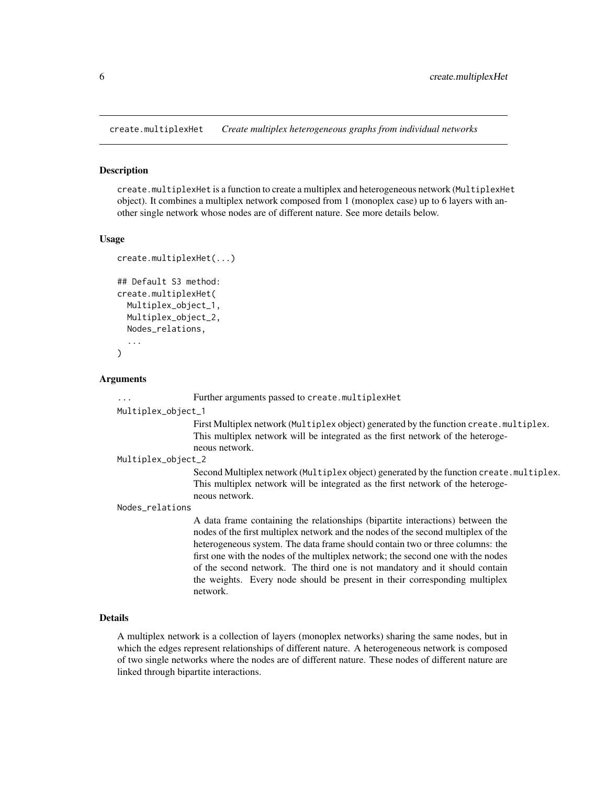<span id="page-5-1"></span><span id="page-5-0"></span>create.multiplexHet *Create multiplex heterogeneous graphs from individual networks*

#### Description

create.multiplexHet is a function to create a multiplex and heterogeneous network (MultiplexHet object). It combines a multiplex network composed from 1 (monoplex case) up to 6 layers with another single network whose nodes are of different nature. See more details below.

# Usage

```
create.multiplexHet(...)
## Default S3 method:
create.multiplexHet(
 Multiplex_object_1,
 Multiplex_object_2,
 Nodes_relations,
  ...
)
```
#### Arguments

... Further arguments passed to create.multiplexHet

#### Multiplex\_object\_1

First Multiplex network (Multiplex object) generated by the function create.multiplex. This multiplex network will be integrated as the first network of the heterogeneous network.

# Multiplex\_object\_2

Second Multiplex network (Multiplex object) generated by the function create.multiplex. This multiplex network will be integrated as the first network of the heterogeneous network.

# Nodes\_relations

A data frame containing the relationships (bipartite interactions) between the nodes of the first multiplex network and the nodes of the second multiplex of the heterogeneous system. The data frame should contain two or three columns: the first one with the nodes of the multiplex network; the second one with the nodes of the second network. The third one is not mandatory and it should contain the weights. Every node should be present in their corresponding multiplex network.

# Details

A multiplex network is a collection of layers (monoplex networks) sharing the same nodes, but in which the edges represent relationships of different nature. A heterogeneous network is composed of two single networks where the nodes are of different nature. These nodes of different nature are linked through bipartite interactions.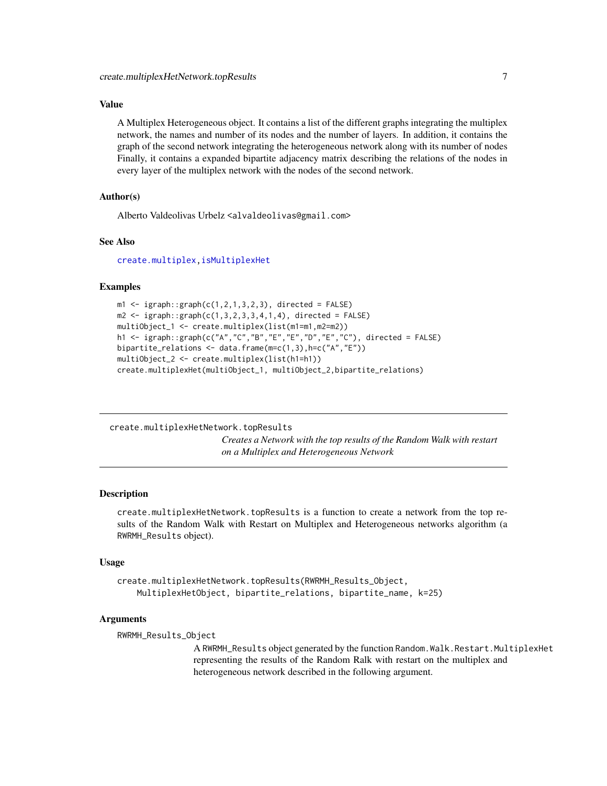# <span id="page-6-0"></span>Value

A Multiplex Heterogeneous object. It contains a list of the different graphs integrating the multiplex network, the names and number of its nodes and the number of layers. In addition, it contains the graph of the second network integrating the heterogeneous network along with its number of nodes Finally, it contains a expanded bipartite adjacency matrix describing the relations of the nodes in every layer of the multiplex network with the nodes of the second network.

# Author(s)

Alberto Valdeolivas Urbelz <alvaldeolivas@gmail.com>

# See Also

[create.multiplex](#page-4-1)[,isMultiplexHet](#page-11-1)

#### Examples

```
m1 \leq -i graph::graph(c(1,2,1,3,2,3), directed = FALSE)
m2 \leq -i igraph::graph(c(1,3,2,3,3,4,1,4), directed = FALSE)
multiObject_1 <- create.multiplex(list(m1=m1,m2=m2))
h1 <- igraph::graph(c("A","C","B","E","E","D","E","C"), directed = FALSE)
bipartite_relations <- data.frame(m=c(1,3),h=c("A","E"))
multiObject_2 <- create.multiplex(list(h1=h1))
create.multiplexHet(multiObject_1, multiObject_2,bipartite_relations)
```
<span id="page-6-1"></span>create.multiplexHetNetwork.topResults

*Creates a Network with the top results of the Random Walk with restart on a Multiplex and Heterogeneous Network*

#### **Description**

create.multiplexHetNetwork.topResults is a function to create a network from the top results of the Random Walk with Restart on Multiplex and Heterogeneous networks algorithm (a RWRMH\_Results object).

#### Usage

```
create.multiplexHetNetwork.topResults(RWRMH_Results_Object,
   MultiplexHetObject, bipartite_relations, bipartite_name, k=25)
```
#### Arguments

RWRMH\_Results\_Object

A RWRMH\_Results object generated by the function Random. Walk. Restart. MultiplexHet representing the results of the Random Ralk with restart on the multiplex and heterogeneous network described in the following argument.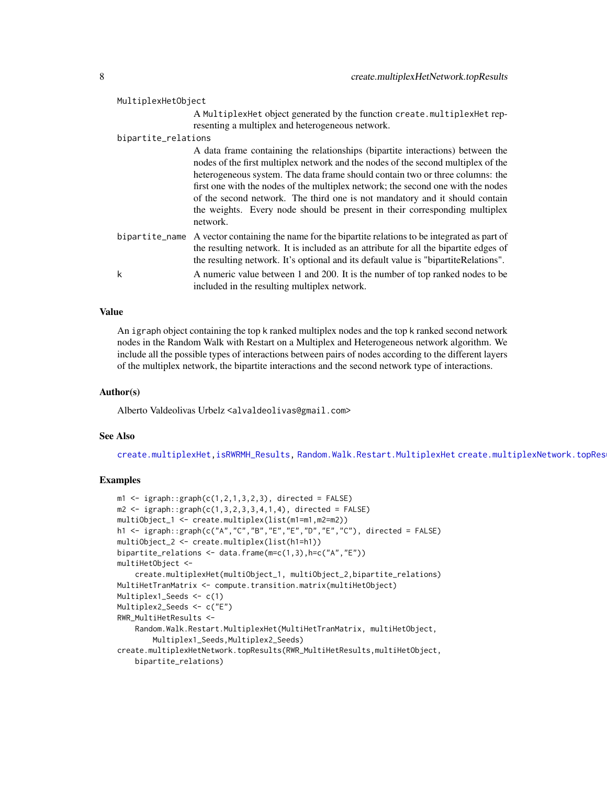<span id="page-7-0"></span>

| MultiplexHetObject  |                                                                                                                                                                                                                                                                                                                                                                                                                                                                                                                   |
|---------------------|-------------------------------------------------------------------------------------------------------------------------------------------------------------------------------------------------------------------------------------------------------------------------------------------------------------------------------------------------------------------------------------------------------------------------------------------------------------------------------------------------------------------|
|                     | A MultiplexHet object generated by the function create.multiplexHet rep-<br>resenting a multiplex and heterogeneous network.                                                                                                                                                                                                                                                                                                                                                                                      |
| bipartite_relations |                                                                                                                                                                                                                                                                                                                                                                                                                                                                                                                   |
|                     | A data frame containing the relationships (bipartite interactions) between the<br>nodes of the first multiplex network and the nodes of the second multiplex of the<br>heterogeneous system. The data frame should contain two or three columns: the<br>first one with the nodes of the multiplex network; the second one with the nodes<br>of the second network. The third one is not mandatory and it should contain<br>the weights. Every node should be present in their corresponding multiplex<br>network. |
|                     | bipartite name A vector containing the name for the bipartite relations to be integrated as part of<br>the resulting network. It is included as an attribute for all the bipartite edges of<br>the resulting network. It's optional and its default value is "bipartiteRelations".                                                                                                                                                                                                                                |
| k                   | A numeric value between 1 and 200. It is the number of top ranked nodes to be<br>included in the resulting multiplex network.                                                                                                                                                                                                                                                                                                                                                                                     |

# Value

An igraph object containing the top k ranked multiplex nodes and the top k ranked second network nodes in the Random Walk with Restart on a Multiplex and Heterogeneous network algorithm. We include all the possible types of interactions between pairs of nodes according to the different layers of the multiplex network, the bipartite interactions and the second network type of interactions.

# Author(s)

Alberto Valdeolivas Urbelz <alvaldeolivas@gmail.com>

# See Also

[create.multiplexHet,](#page-5-1)[isRWRMH\\_Results,](#page-12-1) [Random.Walk.Restart.MultiplexHet](#page-18-1) create.multiplexNetwork.topRes

```
m1 \leq -i igraph::graph(c(1,2,1,3,2,3)), directed = FALSE)
m2 \leq -i igraph::graph(c(1,3,2,3,3,4,1,4), directed = FALSE)
multiObject_1 <- create.multiplex(list(m1=m1,m2=m2))
h1 <- igraph::graph(c("A","C","B","E","E","D","E","C"), directed = FALSE)
multiObject_2 <- create.multiplex(list(h1=h1))
bipartite_relations <- data.frame(m=c(1,3),h=c("A","E"))
multiHetObject <-
    create.multiplexHet(multiObject_1, multiObject_2,bipartite_relations)
MultiHetTranMatrix <- compute.transition.matrix(multiHetObject)
Multiplex1_Seeds <- c(1)
Multiplex2_Seeds <- c("E")
RWR_MultiHetResults <-
    Random.Walk.Restart.MultiplexHet(MultiHetTranMatrix, multiHetObject,
        Multiplex1_Seeds,Multiplex2_Seeds)
create.multiplexHetNetwork.topResults(RWR_MultiHetResults,multiHetObject,
    bipartite_relations)
```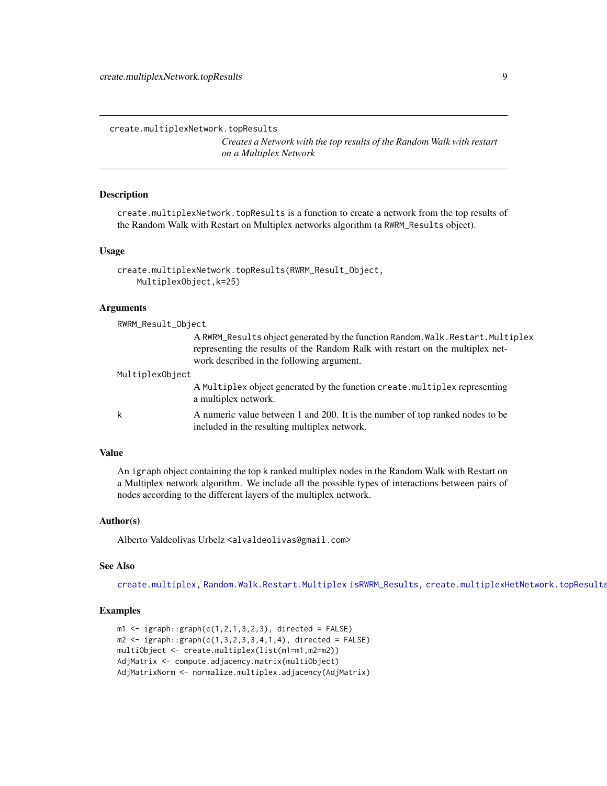<span id="page-8-1"></span><span id="page-8-0"></span>create.multiplexNetwork.topResults

*Creates a Network with the top results of the Random Walk with restart on a Multiplex Network*

## Description

create.multiplexNetwork.topResults is a function to create a network from the top results of the Random Walk with Restart on Multiplex networks algorithm (a RWRM\_Results object).

# Usage

```
create.multiplexNetwork.topResults(RWRM_Result_Object,
   MultiplexObject,k=25)
```
#### Arguments

| RWRM_Result_Object |                                                                                                                                                                                                                 |
|--------------------|-----------------------------------------------------------------------------------------------------------------------------------------------------------------------------------------------------------------|
|                    | A RWRM_Results object generated by the function Random. Walk. Restart. Multiplex<br>representing the results of the Random Ralk with restart on the multiplex net-<br>work described in the following argument. |
| MultiplexObject    |                                                                                                                                                                                                                 |
|                    | A Multiplex object generated by the function create. multiplex representing<br>a multiplex network.                                                                                                             |
| k                  | A numeric value between 1 and 200. It is the number of top ranked nodes to be<br>included in the resulting multiplex network.                                                                                   |

# Value

An igraph object containing the top k ranked multiplex nodes in the Random Walk with Restart on a Multiplex network algorithm. We include all the possible types of interactions between pairs of nodes according to the different layers of the multiplex network.

# Author(s)

Alberto Valdeolivas Urbelz <alvaldeolivas@gmail.com>

#### See Also

[create.multiplex,](#page-4-1) [Random.Walk.Restart.Multiplex](#page-16-1) [isRWRM\\_Results,](#page-13-1) [create.multiplexHetNetwork.topResults](#page-6-1)

```
m1 \leq -i graph::graph(c(1,2,1,3,2,3), directed = FALSE)
m2 \leq -i graph::graph(c(1,3,2,3,3,4,1,4), directed = FALSE)
multiObject <- create.multiplex(list(m1=m1,m2=m2))
AdjMatrix <- compute.adjacency.matrix(multiObject)
AdjMatrixNorm <- normalize.multiplex.adjacency(AdjMatrix)
```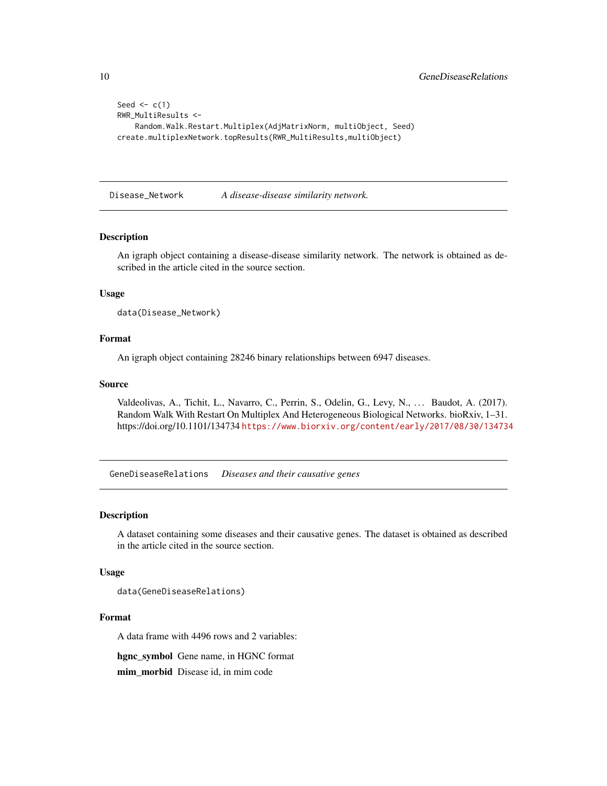```
Seed \leq c(1)RWR_MultiResults <-
    Random.Walk.Restart.Multiplex(AdjMatrixNorm, multiObject, Seed)
create.multiplexNetwork.topResults(RWR_MultiResults,multiObject)
```
Disease\_Network *A disease-disease similarity network.*

# Description

An igraph object containing a disease-disease similarity network. The network is obtained as described in the article cited in the source section.

# Usage

```
data(Disease_Network)
```
# Format

An igraph object containing 28246 binary relationships between 6947 diseases.

# Source

Valdeolivas, A., Tichit, L., Navarro, C., Perrin, S., Odelin, G., Levy, N., ... Baudot, A. (2017). Random Walk With Restart On Multiplex And Heterogeneous Biological Networks. bioRxiv, 1–31. https://doi.org/10.1101/134734 <https://www.biorxiv.org/content/early/2017/08/30/134734>

GeneDiseaseRelations *Diseases and their causative genes*

#### Description

A dataset containing some diseases and their causative genes. The dataset is obtained as described in the article cited in the source section.

# Usage

data(GeneDiseaseRelations)

# Format

A data frame with 4496 rows and 2 variables:

hgnc\_symbol Gene name, in HGNC format

mim\_morbid Disease id, in mim code

<span id="page-9-0"></span>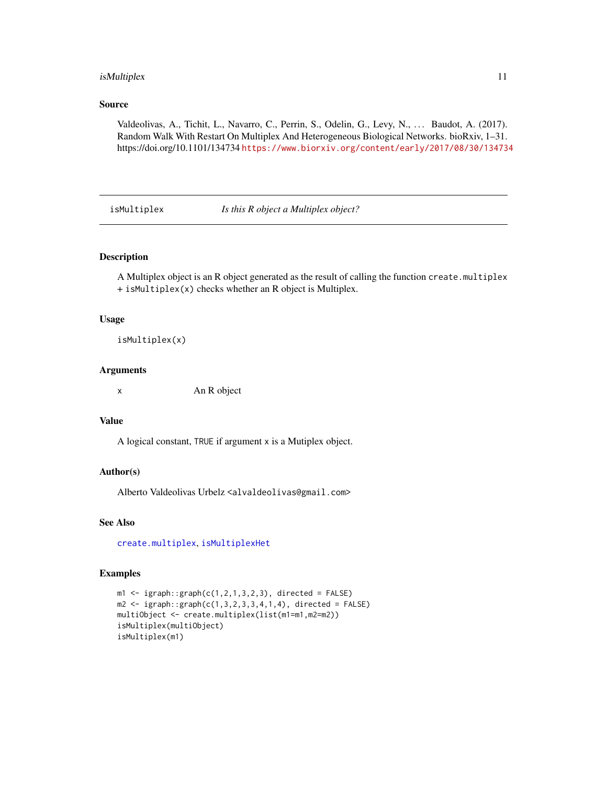# <span id="page-10-0"></span>isMultiplex 11

# Source

Valdeolivas, A., Tichit, L., Navarro, C., Perrin, S., Odelin, G., Levy, N., . . . Baudot, A. (2017). Random Walk With Restart On Multiplex And Heterogeneous Biological Networks. bioRxiv, 1–31. https://doi.org/10.1101/134734 <https://www.biorxiv.org/content/early/2017/08/30/134734>

<span id="page-10-1"></span>isMultiplex *Is this R object a Multiplex object?*

# Description

A Multiplex object is an R object generated as the result of calling the function create.multiplex + isMultiplex(x) checks whether an R object is Multiplex.

# Usage

isMultiplex(x)

# Arguments

x An R object

# Value

A logical constant, TRUE if argument x is a Mutiplex object.

# Author(s)

Alberto Valdeolivas Urbelz <alvaldeolivas@gmail.com>

# See Also

[create.multiplex](#page-4-1), [isMultiplexHet](#page-11-1)

```
m1 \leq -i graph::graph(c(1,2,1,3,2,3), directed = FALSE)
m2 \leq -i graph::graph(c(1,3,2,3,3,4,1,4), directed = FALSE)
multiObject <- create.multiplex(list(m1=m1,m2=m2))
isMultiplex(multiObject)
isMultiplex(m1)
```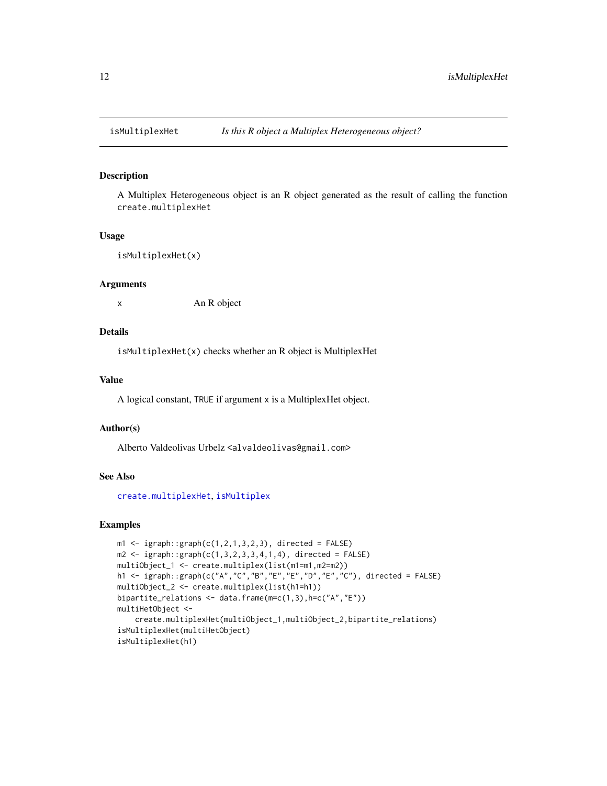<span id="page-11-1"></span><span id="page-11-0"></span>

# Description

A Multiplex Heterogeneous object is an R object generated as the result of calling the function create.multiplexHet

#### Usage

isMultiplexHet(x)

# Arguments

x An R object

# Details

isMultiplexHet(x) checks whether an R object is MultiplexHet

# Value

A logical constant, TRUE if argument x is a MultiplexHet object.

# Author(s)

Alberto Valdeolivas Urbelz <alvaldeolivas@gmail.com>

#### See Also

[create.multiplexHet](#page-5-1), [isMultiplex](#page-10-1)

```
m1 \leq -i graph::graph(c(1,2,1,3,2,3)), directed = FALSE)
m2 \leq -i igraph::graph(c(1,3,2,3,3,4,1,4), directed = FALSE)
multiObject_1 <- create.multiplex(list(m1=m1,m2=m2))
h1 <- igraph::graph(c("A","C","B","E","E","D","E","C"), directed = FALSE)
multiObject_2 <- create.multiplex(list(h1=h1))
bipartite_relations <- data.frame(m=c(1,3),h=c("A","E"))
multiHetObject <-
    create.multiplexHet(multiObject_1,multiObject_2,bipartite_relations)
isMultiplexHet(multiHetObject)
isMultiplexHet(h1)
```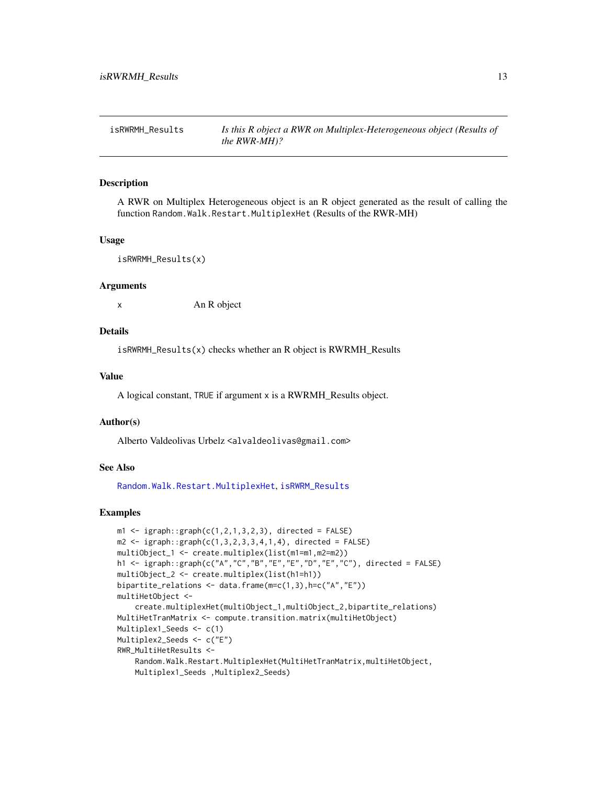<span id="page-12-1"></span><span id="page-12-0"></span>

#### Description

A RWR on Multiplex Heterogeneous object is an R object generated as the result of calling the function Random.Walk.Restart.MultiplexHet (Results of the RWR-MH)

#### Usage

```
isRWRMH_Results(x)
```
#### Arguments

x An R object

# Details

isRWRMH\_Results(x) checks whether an R object is RWRMH\_Results

# Value

A logical constant, TRUE if argument x is a RWRMH\_Results object.

# Author(s)

Alberto Valdeolivas Urbelz <alvaldeolivas@gmail.com>

# See Also

[Random.Walk.Restart.MultiplexHet](#page-18-1), [isRWRM\\_Results](#page-13-1)

```
m1 \leq -i igraph::graph(c(1,2,1,3,2,3)), directed = FALSE)
m2 \leq -igraph::graph(c(1,3,2,3,3,4,1,4), directed = FALSE)multiObject_1 <- create.multiplex(list(m1=m1,m2=m2))
h1 <- igraph::graph(c("A","C","B","E","E","D","E","C"), directed = FALSE)
multiObject_2 <- create.multiplex(list(h1=h1))
bipartite_relations <- data.frame(m=c(1,3),h=c("A","E"))
multiHetObject <-
    create.multiplexHet(multiObject_1,multiObject_2,bipartite_relations)
MultiHetTranMatrix <- compute.transition.matrix(multiHetObject)
Multiplex1_Seeds <- c(1)
Multiplex2_Seeds <- c("E")
RWR_MultiHetResults <-
    Random.Walk.Restart.MultiplexHet(MultiHetTranMatrix,multiHetObject,
    Multiplex1_Seeds ,Multiplex2_Seeds)
```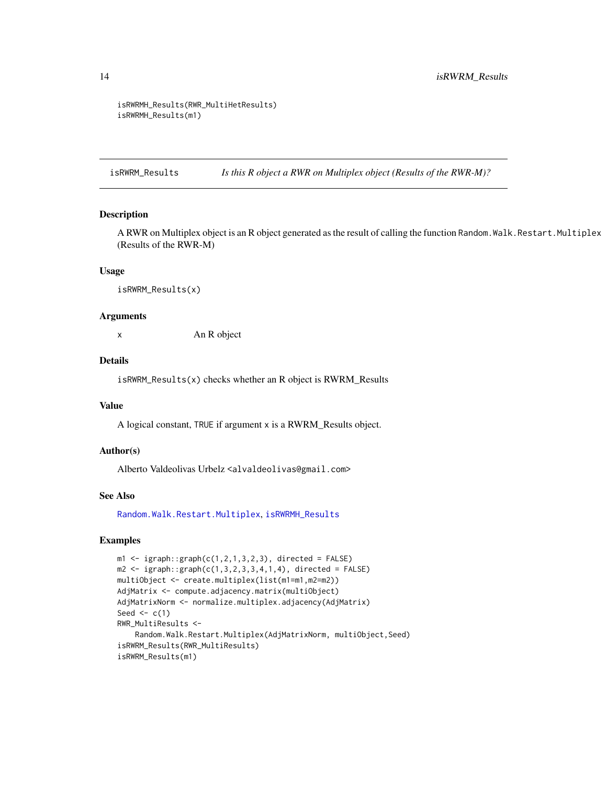```
isRWRMH_Results(RWR_MultiHetResults)
isRWRMH_Results(m1)
```
<span id="page-13-1"></span>isRWRM\_Results *Is this R object a RWR on Multiplex object (Results of the RWR-M)?*

# Description

A RWR on Multiplex object is an R object generated as the result of calling the function Random. Walk. Restart. Multiplex (Results of the RWR-M)

# Usage

isRWRM\_Results(x)

# Arguments

x An R object

# Details

isRWRM\_Results(x) checks whether an R object is RWRM\_Results

#### Value

A logical constant, TRUE if argument x is a RWRM\_Results object.

# Author(s)

Alberto Valdeolivas Urbelz <alvaldeolivas@gmail.com>

#### See Also

[Random.Walk.Restart.Multiplex](#page-16-1), [isRWRMH\\_Results](#page-12-1)

```
m1 \leq -i igraph::graph(c(1,2,1,3,2,3), directed = FALSE)
m2 \leq -i igraph::graph(c(1,3,2,3,3,4,1,4), directed = FALSE)
multiObject <- create.multiplex(list(m1=m1,m2=m2))
AdjMatrix <- compute.adjacency.matrix(multiObject)
AdjMatrixNorm <- normalize.multiplex.adjacency(AdjMatrix)
Seed \leq c(1)
RWR_MultiResults <-
    Random.Walk.Restart.Multiplex(AdjMatrixNorm, multiObject,Seed)
isRWRM_Results(RWR_MultiResults)
isRWRM_Results(m1)
```
<span id="page-13-0"></span>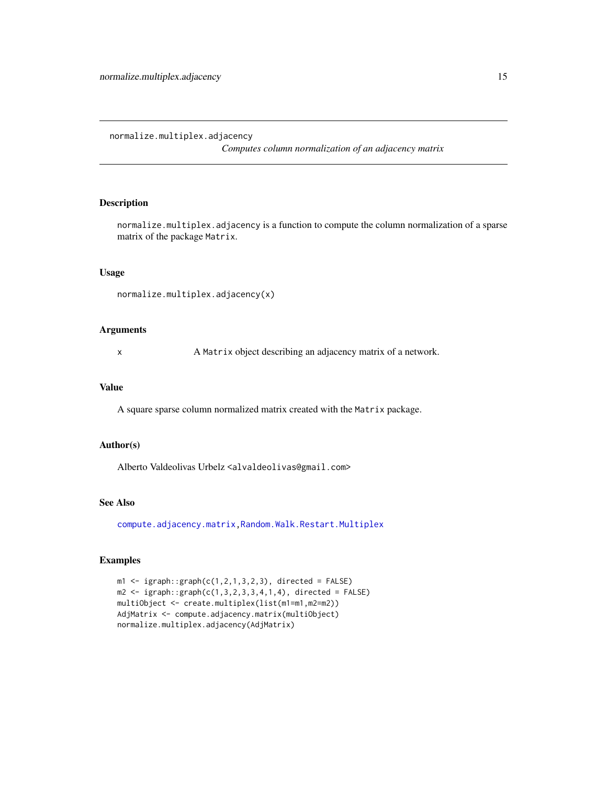<span id="page-14-1"></span><span id="page-14-0"></span>normalize.multiplex.adjacency

*Computes column normalization of an adjacency matrix*

# Description

normalize.multiplex.adjacency is a function to compute the column normalization of a sparse matrix of the package Matrix.

# Usage

```
normalize.multiplex.adjacency(x)
```
#### Arguments

x A Matrix object describing an adjacency matrix of a network.

# Value

A square sparse column normalized matrix created with the Matrix package.

#### Author(s)

Alberto Valdeolivas Urbelz <alvaldeolivas@gmail.com>

# See Also

[compute.adjacency.matrix,](#page-1-1)[Random.Walk.Restart.Multiplex](#page-16-1)

```
m1 \leq -i graph::graph(c(1,2,1,3,2,3)), directed = FALSE)
m2 \leq -i igraph::graph(c(1,3,2,3,3,4,1,4)), directed = FALSE)
multiObject <- create.multiplex(list(m1=m1,m2=m2))
AdjMatrix <- compute.adjacency.matrix(multiObject)
normalize.multiplex.adjacency(AdjMatrix)
```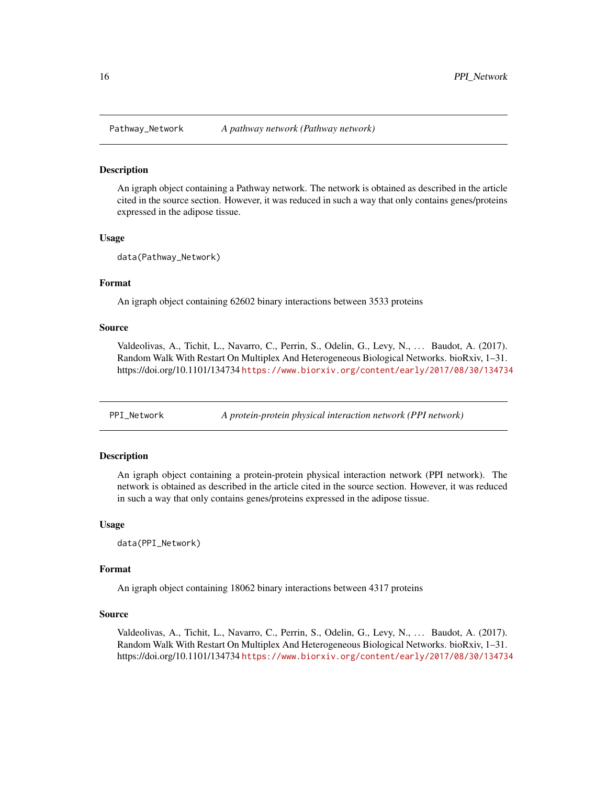<span id="page-15-0"></span>

#### Description

An igraph object containing a Pathway network. The network is obtained as described in the article cited in the source section. However, it was reduced in such a way that only contains genes/proteins expressed in the adipose tissue.

#### Usage

```
data(Pathway_Network)
```
# Format

An igraph object containing 62602 binary interactions between 3533 proteins

#### Source

Valdeolivas, A., Tichit, L., Navarro, C., Perrin, S., Odelin, G., Levy, N., ... Baudot, A. (2017). Random Walk With Restart On Multiplex And Heterogeneous Biological Networks. bioRxiv, 1–31. https://doi.org/10.1101/134734 <https://www.biorxiv.org/content/early/2017/08/30/134734>

PPI\_Network *A protein-protein physical interaction network (PPI network)*

# **Description**

An igraph object containing a protein-protein physical interaction network (PPI network). The network is obtained as described in the article cited in the source section. However, it was reduced in such a way that only contains genes/proteins expressed in the adipose tissue.

#### Usage

data(PPI\_Network)

# Format

An igraph object containing 18062 binary interactions between 4317 proteins

#### Source

Valdeolivas, A., Tichit, L., Navarro, C., Perrin, S., Odelin, G., Levy, N., ... Baudot, A. (2017). Random Walk With Restart On Multiplex And Heterogeneous Biological Networks. bioRxiv, 1–31. https://doi.org/10.1101/134734 <https://www.biorxiv.org/content/early/2017/08/30/134734>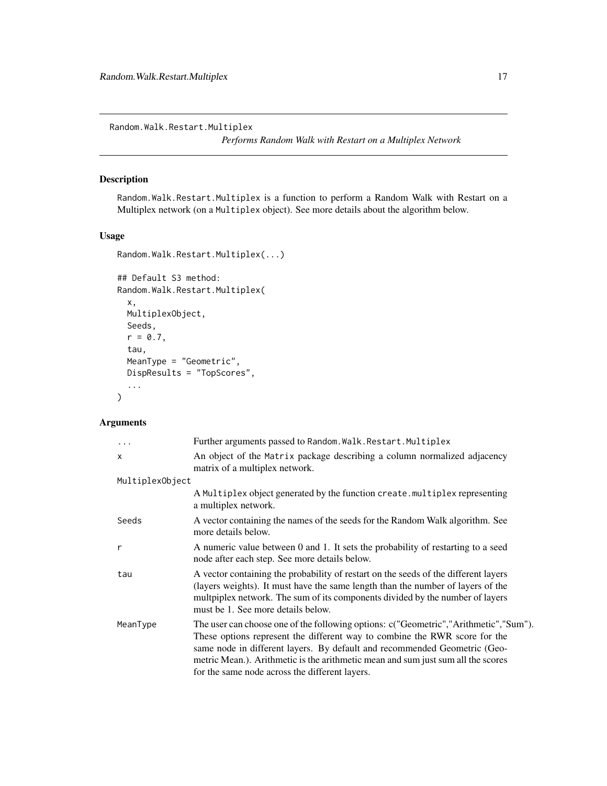<span id="page-16-1"></span><span id="page-16-0"></span>Random.Walk.Restart.Multiplex

*Performs Random Walk with Restart on a Multiplex Network*

# Description

Random.Walk.Restart.Multiplex is a function to perform a Random Walk with Restart on a Multiplex network (on a Multiplex object). See more details about the algorithm below.

# Usage

```
Random.Walk.Restart.Multiplex(...)
```

```
## Default S3 method:
Random.Walk.Restart.Multiplex(
  x,
 MultiplexObject,
 Seeds,
  r = 0.7,
  tau,
 MeanType = "Geometric",
 DispResults = "TopScores",
  ...
)
```
# Arguments

| .               | Further arguments passed to Random. Walk. Restart. Multiplex                                                                                                                                                                                                                                                                                                                          |
|-----------------|---------------------------------------------------------------------------------------------------------------------------------------------------------------------------------------------------------------------------------------------------------------------------------------------------------------------------------------------------------------------------------------|
| $\mathsf{x}$    | An object of the Matrix package describing a column normalized adjacency<br>matrix of a multiplex network.                                                                                                                                                                                                                                                                            |
| MultiplexObject |                                                                                                                                                                                                                                                                                                                                                                                       |
|                 | A Multiplex object generated by the function create. multiplex representing<br>a multiplex network.                                                                                                                                                                                                                                                                                   |
| Seeds           | A vector containing the names of the seeds for the Random Walk algorithm. See<br>more details below.                                                                                                                                                                                                                                                                                  |
| $\mathsf{r}$    | A numeric value between 0 and 1. It sets the probability of restarting to a seed<br>node after each step. See more details below.                                                                                                                                                                                                                                                     |
| tau             | A vector containing the probability of restart on the seeds of the different layers<br>(layers weights). It must have the same length than the number of layers of the<br>multpiplex network. The sum of its components divided by the number of layers<br>must be 1. See more details below.                                                                                         |
| MeanType        | The user can choose one of the following options: c("Geometric","Arithmetic","Sum").<br>These options represent the different way to combine the RWR score for the<br>same node in different layers. By default and recommended Geometric (Geo-<br>metric Mean.). Arithmetic is the arithmetic mean and sum just sum all the scores<br>for the same node across the different layers. |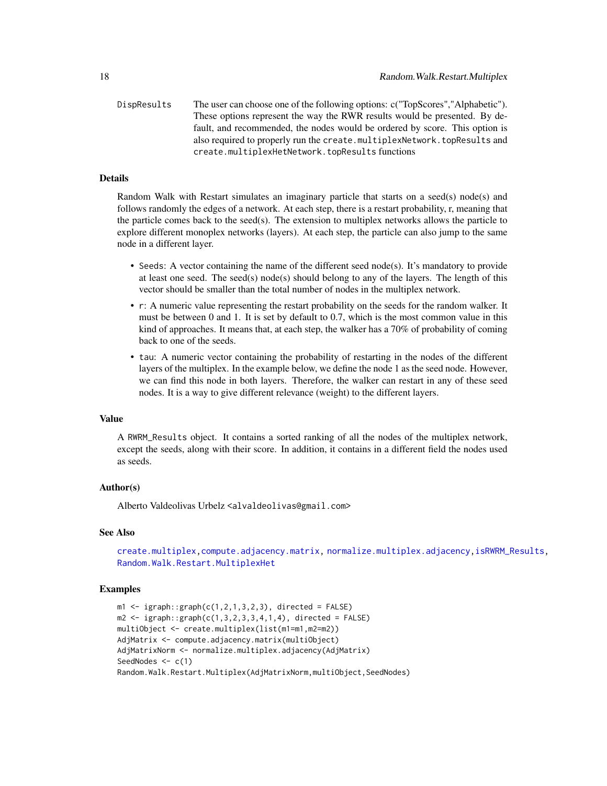<span id="page-17-0"></span>DispResults The user can choose one of the following options: c("TopScores","Alphabetic"). These options represent the way the RWR results would be presented. By default, and recommended, the nodes would be ordered by score. This option is also required to properly run the create.multiplexNetwork.topResults and create.multiplexHetNetwork.topResults functions

# Details

Random Walk with Restart simulates an imaginary particle that starts on a seed(s) node(s) and follows randomly the edges of a network. At each step, there is a restart probability, r, meaning that the particle comes back to the seed(s). The extension to multiplex networks allows the particle to explore different monoplex networks (layers). At each step, the particle can also jump to the same node in a different layer.

- Seeds: A vector containing the name of the different seed node(s). It's mandatory to provide at least one seed. The seed(s) node(s) should belong to any of the layers. The length of this vector should be smaller than the total number of nodes in the multiplex network.
- r: A numeric value representing the restart probability on the seeds for the random walker. It must be between 0 and 1. It is set by default to 0.7, which is the most common value in this kind of approaches. It means that, at each step, the walker has a 70% of probability of coming back to one of the seeds.
- tau: A numeric vector containing the probability of restarting in the nodes of the different layers of the multiplex. In the example below, we define the node 1 as the seed node. However, we can find this node in both layers. Therefore, the walker can restart in any of these seed nodes. It is a way to give different relevance (weight) to the different layers.

# Value

A RWRM\_Results object. It contains a sorted ranking of all the nodes of the multiplex network, except the seeds, along with their score. In addition, it contains in a different field the nodes used as seeds.

# Author(s)

Alberto Valdeolivas Urbelz <alvaldeolivas@gmail.com>

#### See Also

[create.multiplex](#page-4-1)[,compute.adjacency.matrix,](#page-1-1) [normalize.multiplex.adjacency,](#page-14-1)[isRWRM\\_Results,](#page-13-1) [Random.Walk.Restart.MultiplexHet](#page-18-1)

```
m1 \leq -i igraph::graph(c(1,2,1,3,2,3), directed = FALSE)
m2 \leq -i igraph::graph(c(1,3,2,3,3,4,1,4), directed = FALSE)
multiObject <- create.multiplex(list(m1=m1,m2=m2))
AdjMatrix <- compute.adjacency.matrix(multiObject)
AdjMatrixNorm <- normalize.multiplex.adjacency(AdjMatrix)
SeedNodes <-c(1)Random.Walk.Restart.Multiplex(AdjMatrixNorm,multiObject,SeedNodes)
```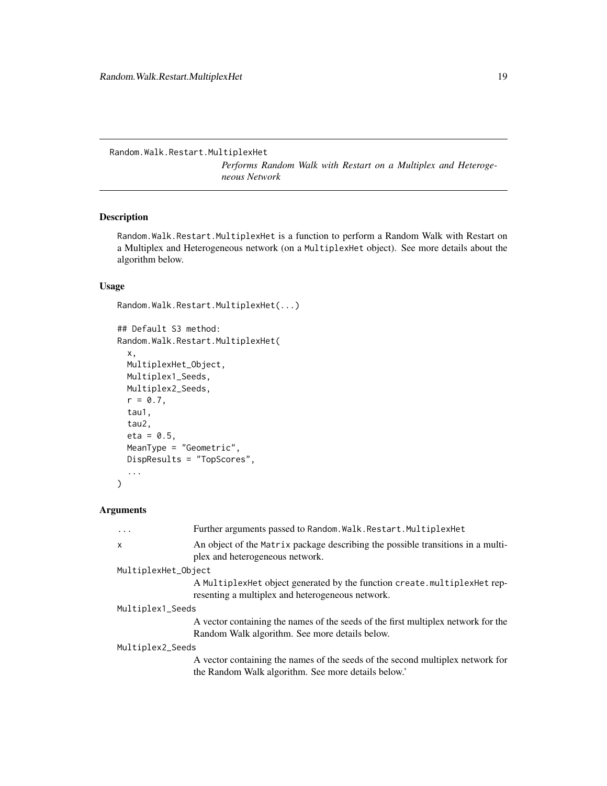<span id="page-18-1"></span><span id="page-18-0"></span>Random.Walk.Restart.MultiplexHet

*Performs Random Walk with Restart on a Multiplex and Heterogeneous Network*

# Description

Random.Walk.Restart.MultiplexHet is a function to perform a Random Walk with Restart on a Multiplex and Heterogeneous network (on a MultiplexHet object). See more details about the algorithm below.

# Usage

```
Random.Walk.Restart.MultiplexHet(...)
```

```
## Default S3 method:
Random.Walk.Restart.MultiplexHet(
  x,
 MultiplexHet_Object,
 Multiplex1_Seeds,
 Multiplex2_Seeds,
 r = 0.7,
  tau1,
  tau2,
  eta = 0.5,
 MeanType = "Geometric",
 DispResults = "TopScores",
  ...
)
```
# Arguments

| .                         | Further arguments passed to Random. Walk. Restart. Multiplex Het                                                                |
|---------------------------|---------------------------------------------------------------------------------------------------------------------------------|
| $\boldsymbol{\mathsf{x}}$ | An object of the Matrix package describing the possible transitions in a multi-<br>plex and heterogeneous network.              |
| MultiplexHet_Object       |                                                                                                                                 |
|                           | A Multiplex Het object generated by the function create. multiplex Het rep-<br>resenting a multiplex and heterogeneous network. |
| Multiplex1_Seeds          |                                                                                                                                 |
|                           | A vector containing the names of the seeds of the first multiplex network for the                                               |
|                           | Random Walk algorithm. See more details below.                                                                                  |
| Multiplex2_Seeds          |                                                                                                                                 |
|                           | A vector containing the names of the seeds of the second multiplex network for                                                  |
|                           | the Random Walk algorithm. See more details below.'                                                                             |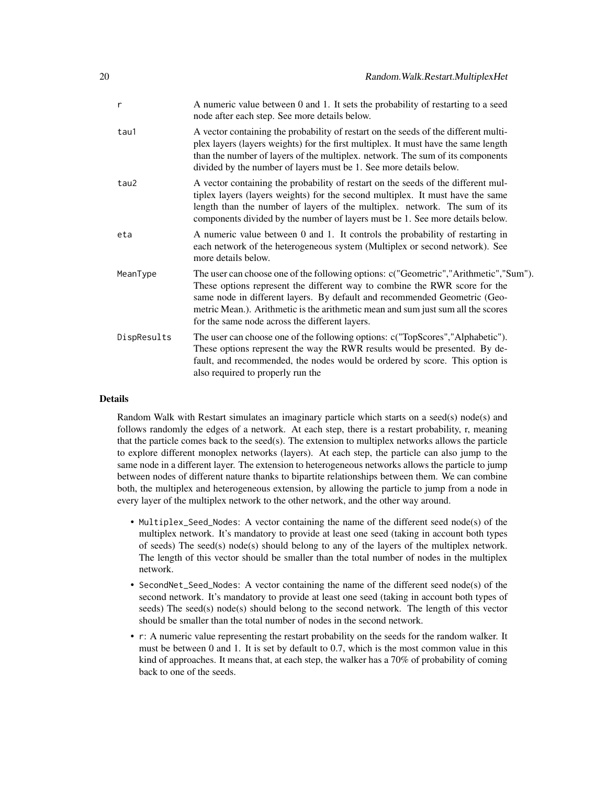| A numeric value between 0 and 1. It sets the probability of restarting to a seed<br>node after each step. See more details below.                                                                                                                                                                                                                                                     |
|---------------------------------------------------------------------------------------------------------------------------------------------------------------------------------------------------------------------------------------------------------------------------------------------------------------------------------------------------------------------------------------|
| A vector containing the probability of restart on the seeds of the different multi-<br>plex layers (layers weights) for the first multiplex. It must have the same length<br>than the number of layers of the multiplex. network. The sum of its components<br>divided by the number of layers must be 1. See more details below.                                                     |
| A vector containing the probability of restart on the seeds of the different mul-<br>tiplex layers (layers weights) for the second multiplex. It must have the same<br>length than the number of layers of the multiplex. network. The sum of its<br>components divided by the number of layers must be 1. See more details below.                                                    |
| A numeric value between 0 and 1. It controls the probability of restarting in<br>each network of the heterogeneous system (Multiplex or second network). See<br>more details below.                                                                                                                                                                                                   |
| The user can choose one of the following options: c("Geometric","Arithmetic","Sum").<br>These options represent the different way to combine the RWR score for the<br>same node in different layers. By default and recommended Geometric (Geo-<br>metric Mean.). Arithmetic is the arithmetic mean and sum just sum all the scores<br>for the same node across the different layers. |
| The user can choose one of the following options: c("TopScores","Alphabetic").<br>These options represent the way the RWR results would be presented. By de-<br>fault, and recommended, the nodes would be ordered by score. This option is<br>also required to properly run the                                                                                                      |
|                                                                                                                                                                                                                                                                                                                                                                                       |

# Details

Random Walk with Restart simulates an imaginary particle which starts on a seed(s) node(s) and follows randomly the edges of a network. At each step, there is a restart probability, r, meaning that the particle comes back to the seed(s). The extension to multiplex networks allows the particle to explore different monoplex networks (layers). At each step, the particle can also jump to the same node in a different layer. The extension to heterogeneous networks allows the particle to jump between nodes of different nature thanks to bipartite relationships between them. We can combine both, the multiplex and heterogeneous extension, by allowing the particle to jump from a node in every layer of the multiplex network to the other network, and the other way around.

- Multiplex\_Seed\_Nodes: A vector containing the name of the different seed node(s) of the multiplex network. It's mandatory to provide at least one seed (taking in account both types of seeds) The seed(s) node(s) should belong to any of the layers of the multiplex network. The length of this vector should be smaller than the total number of nodes in the multiplex network.
- SecondNet\_Seed\_Nodes: A vector containing the name of the different seed node(s) of the second network. It's mandatory to provide at least one seed (taking in account both types of seeds) The seed(s) node(s) should belong to the second network. The length of this vector should be smaller than the total number of nodes in the second network.
- r: A numeric value representing the restart probability on the seeds for the random walker. It must be between 0 and 1. It is set by default to 0.7, which is the most common value in this kind of approaches. It means that, at each step, the walker has a  $70\%$  of probability of coming back to one of the seeds.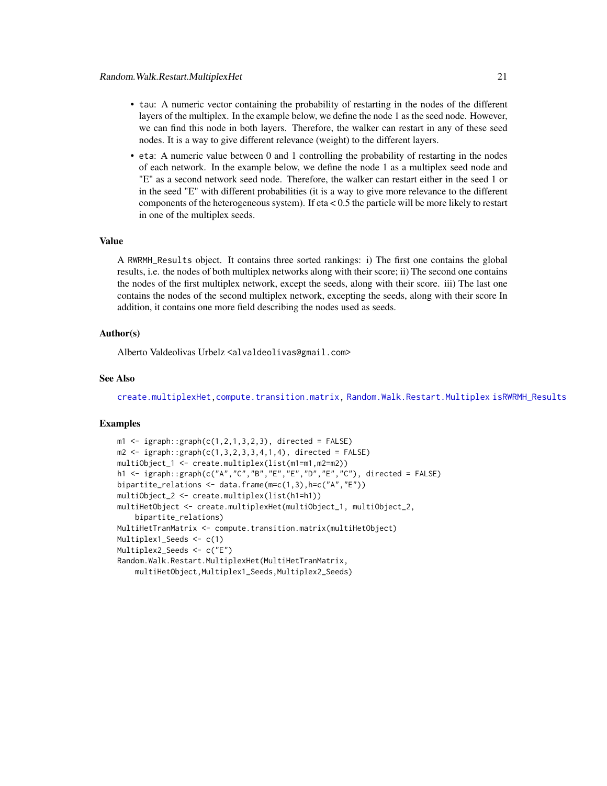- <span id="page-20-0"></span>• tau: A numeric vector containing the probability of restarting in the nodes of the different layers of the multiplex. In the example below, we define the node 1 as the seed node. However, we can find this node in both layers. Therefore, the walker can restart in any of these seed nodes. It is a way to give different relevance (weight) to the different layers.
- eta: A numeric value between 0 and 1 controlling the probability of restarting in the nodes of each network. In the example below, we define the node 1 as a multiplex seed node and "E" as a second network seed node. Therefore, the walker can restart either in the seed 1 or in the seed "E" with different probabilities (it is a way to give more relevance to the different components of the heterogeneous system). If eta  $< 0.5$  the particle will be more likely to restart in one of the multiplex seeds.

# Value

A RWRMH\_Results object. It contains three sorted rankings: i) The first one contains the global results, i.e. the nodes of both multiplex networks along with their score; ii) The second one contains the nodes of the first multiplex network, except the seeds, along with their score. iii) The last one contains the nodes of the second multiplex network, excepting the seeds, along with their score In addition, it contains one more field describing the nodes used as seeds.

# Author(s)

Alberto Valdeolivas Urbelz <alvaldeolivas@gmail.com>

#### See Also

[create.multiplexHet,](#page-5-1)[compute.transition.matrix,](#page-2-1) [Random.Walk.Restart.Multiplex](#page-16-1) [isRWRMH\\_Results](#page-12-1)

```
m1 \leq -i graph::graph(c(1,2,1,3,2,3), directed = FALSE)
m2 \leq -i igraph::graph(c(1,3,2,3,3,4,1,4)), directed = FALSE)
multiObject_1 <- create.multiplex(list(m1=m1,m2=m2))
h1 <- igraph::graph(c("A","C","B","E","E","D","E","C"), directed = FALSE)
bipartite_relations <- data.frame(m=c(1,3),h=c("A","E"))
multiObject_2 <- create.multiplex(list(h1=h1))
multiHetObject <- create.multiplexHet(multiObject_1, multiObject_2,
    bipartite_relations)
MultiHetTranMatrix <- compute.transition.matrix(multiHetObject)
Multiplex1_Seeds <- c(1)
Multiplex2_Seeds <- c("E")
Random.Walk.Restart.MultiplexHet(MultiHetTranMatrix,
    multiHetObject,Multiplex1_Seeds,Multiplex2_Seeds)
```